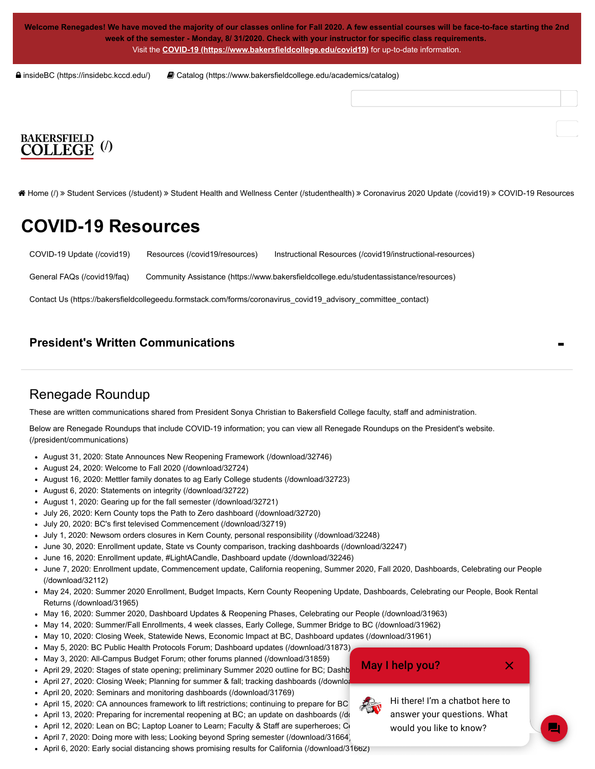**Welcome Renegades! We have moved the majority of our classes online for Fall 2020. A few essential courses will be face-to-face starting the 2nd week of the semester - Monday, 8/ 31/2020. Check with your instructor for specific class requirements.** Visit the **[COVID-19 \(https://www.bakersfieldcollege.edu/covid19\)](https://www.bakersfieldcollege.edu/covid19)** for up-to-date information.

 [insideBC \(https://insidebc.kccd.edu/\)](https://insidebc.kccd.edu/)  [Catalog \(https://www.bakersfieldcollege.edu/academics/catalog\)](https://www.bakersfieldcollege.edu/academics/catalog)

# **[\(/\)](https://www.bakersfieldcollege.edu/)**

 [Home \(/\)](https://www.bakersfieldcollege.edu/) [Student Services \(/student\)](https://www.bakersfieldcollege.edu/student) [Student Health and Wellness Center \(/studenthealth\)](https://www.bakersfieldcollege.edu/studenthealth) [Coronavirus 2020 Update \(/covid19\)](https://www.bakersfieldcollege.edu/covid19) COVID-19 Resources

### **COVID-19 Resources**

[COVID-19 Update \(/covid19\)](https://www.bakersfieldcollege.edu/covid19) [Resources \(/covid19/resources\)](https://www.bakersfieldcollege.edu/covid19/resources) [Instructional Resources \(/covid19/instructional-resources\)](https://www.bakersfieldcollege.edu/covid19/instructional-resources)

[General FAQs \(/covid19/faq\)](https://www.bakersfieldcollege.edu/covid19/faq) [Community Assistance \(https://www.bakersfieldcollege.edu/studentassistance/resources\)](https://www.bakersfieldcollege.edu/studentassistance/resources)

[Contact Us \(https://bakersfieldcollegeedu.formstack.com/forms/coronavirus\\_covid19\\_advisory\\_committee\\_contact\)](https://bakersfieldcollegeedu.formstack.com/forms/coronavirus_covid19_advisory_committee_contact)

#### **[President's Written Communications](#page-0-0)**

#### <span id="page-0-0"></span>Renegade Roundup

These are written communications shared from President Sonya Christian to Bakersfield College faculty, staff and administration.

[Below are Renegade Roundups that include COVID-19 information; you can view all Renegade Roundups on the President's website.](https://www.bakersfieldcollege.edu/president/communications) (/president/communications)

- [August 31, 2020: State Announces New Reopening Framework \(/download/32746\)](https://www.bakersfieldcollege.edu/download/32746)
- [August 24, 2020: Welcome to Fall 2020 \(/download/32724\)](https://www.bakersfieldcollege.edu/download/32724)
- [August 16, 2020: Mettler family donates to ag Early College students \(/download/32723\)](https://www.bakersfieldcollege.edu/download/32723)
- [August 6, 2020: Statements on integrity \(/download/32722\)](https://www.bakersfieldcollege.edu/download/32722)
- [August 1, 2020: Gearing up for the fall semester \(/download/32721\)](https://www.bakersfieldcollege.edu/download/32721)
- [July 26, 2020: Kern County tops the Path to Zero dashboard \(/download/32720\)](https://www.bakersfieldcollege.edu/download/32720)
- [July 20, 2020: BC's first televised Commencement \(/download/32719\)](https://www.bakersfieldcollege.edu/download/32719)
- [July 1, 2020: Newsom orders closures in Kern County, personal responsibility \(/download/32248\)](https://www.bakersfieldcollege.edu/download/32248)
- [June 30, 2020: Enrollment update, State vs County comparison, tracking dashboards \(/download/32247\)](https://www.bakersfieldcollege.edu/download/32247)
- [June 16, 2020: Enrollment update, #LightACandle, Dashboard update \(/download/32246\)](https://www.bakersfieldcollege.edu/download/32246)
- [June 7, 2020: Enrollment update, Commencement update, California reopening, Summer 2020, Fall 2020, Dashboards, Celebrating our People](https://www.bakersfieldcollege.edu/download/32112) (/download/32112)
- [May 24, 2020: Summer 2020 Enrollment, Budget Impacts, Kern County Reopening Update, Dashboards, Celebrating our People, Book Rental](https://www.bakersfieldcollege.edu/download/31965) Returns (/download/31965)
- [May 16, 2020: Summer 2020, Dashboard Updates & Reopening Phases, Celebrating our People \(/download/31963\)](https://www.bakersfieldcollege.edu/download/31963)
- [May 14, 2020: Summer/Fall Enrollments, 4 week classes, Early College, Summer Bridge to BC \(/download/31962\)](https://www.bakersfieldcollege.edu/download/31962)
- [May 10, 2020: Closing Week, Statewide News, Economic Impact at BC, Dashboard updates \(/download/31961\)](https://www.bakersfieldcollege.edu/download/31961)
- [May 5, 2020: BC Public Health Protocols Forum; Dashboard updates \(/download/31873\)](https://www.bakersfieldcollege.edu/download/31873)
- [May 3, 2020: All-Campus Budget Forum; other forums planned \(/download/31859\)](https://www.bakersfieldcollege.edu/download/31859)
- April 29, 2020: Stages of state opening; preliminary Summer 2020 outline for BC; Dashb
- April 27, 2020: Closing Week; Planning for summer & fall; tracking dashboards (/downloa
- [April 20, 2020: Seminars and monitoring dashboards \(/download/31769\)](https://www.bakersfieldcollege.edu/download/31769)
- April 15, 2020: CA announces framework to lift restrictions; continuing to prepare for BC
- April 13, 2020: Preparing for incremental reopening at BC; an update on dashboards (/download
- April 12, 2020: Lean on BC; Laptop Loaner to Learn; Faculty & Staff are superheroes; Co
- [April 7, 2020: Doing more with less; Looking beyond Spring semester \(/download/31664\)](https://www.bakersfieldcollege.edu/download/31664)
- [April 6, 2020: Early social distancing shows promising results for California \(/download/31662\)](https://www.bakersfieldcollege.edu/download/31662)

May I help you?



Hi there! I'm a chatbot here to answer your questions. What would you like to know?

 $\bm{\times}$ 

**-**